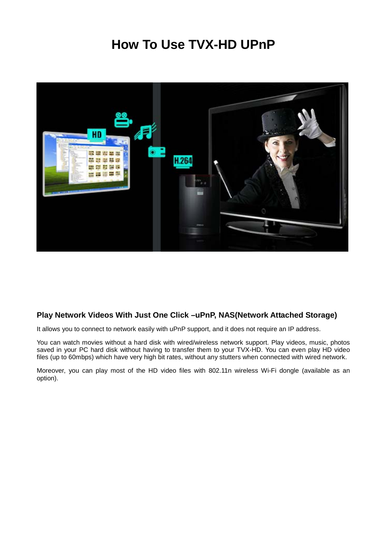# **How To Use TVX-HD UPnP**



# **Play Network Videos With Just One Click –uPnP, NAS(Network Attached Storage)**

It allows you to connect to network easily with uPnP support, and it does not require an IP address.

You can watch movies without a hard disk with wired/wireless network support. Play videos, music, photos saved in your PC hard disk without having to transfer them to your TVX-HD. You can even play HD video files (up to 60mbps) which have very high bit rates, without any stutters when connected with wired network.

Moreover, you can play most of the HD video files with 802.11n wireless Wi-Fi dongle (available as an option).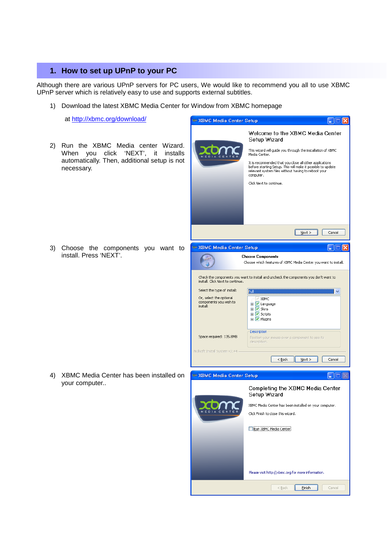# **1. How to set up UPnP to your PC**

Although there are various UPnP servers for PC users, We would like to recommend you all to use XBMC UPnP server which is relatively easy to use and supports external subtitles.

**VRMC Modio Contar Roy** 

1) Download the latest XBMC Media Center for Window from XBMC homepage

2) Run the XBMC Media center Wizard. When you click 'NEXT', it installs automatically. Then, additional setup is not

at http://xbmc.org/download/

necessary.

3) Choose the components you want to install. Press 'NEXT'.

4) XBMC Media Center has been installed on

your computer..

| vome meant center octab                                       |                                                                                                                                                                                                                                                                                                                                                           |
|---------------------------------------------------------------|-----------------------------------------------------------------------------------------------------------------------------------------------------------------------------------------------------------------------------------------------------------------------------------------------------------------------------------------------------------|
| MEDIA                                                         | Welcome to the XBMC Media Center<br>Setup Wizard<br>This wizard will guide you through the installation of XBMC<br>Media Center.<br>It is recommended that you close all other applications<br>before starting Setup. This will make it possible to update<br>relevant system files without having to reboot your<br>computer.<br>Click Next to continue. |
|                                                               | $N$ ext ><br>Cancel                                                                                                                                                                                                                                                                                                                                       |
| <b>EXBMC Media Center Setup</b>                               | 1516                                                                                                                                                                                                                                                                                                                                                      |
|                                                               | <b>Choose Components</b><br>Choose which features of XBMC Media Center you want to install.                                                                                                                                                                                                                                                               |
| install. Click Next to continue.                              | Check the components you want to install and uncheck the components you don't want to                                                                                                                                                                                                                                                                     |
| Select the type of install:                                   | Full                                                                                                                                                                                                                                                                                                                                                      |
| Or, select the optional                                       | XBMC<br>  w*                                                                                                                                                                                                                                                                                                                                              |
| components you wish to<br>install:<br>Space required: 135.8MB | <b>E</b> V Language<br><b>E</b> V Skins<br><b>E</b> √ Scripts<br><b>E</b> V Plugins<br>Description<br>Position your mouse over a component to see its<br>description.                                                                                                                                                                                     |
| Nullsoft Install System v2.44 -                               |                                                                                                                                                                                                                                                                                                                                                           |
|                                                               | Cancel<br>< <u>B</u> ack<br>Next >                                                                                                                                                                                                                                                                                                                        |
| <b>ExBMC Media Center Setup</b>                               |                                                                                                                                                                                                                                                                                                                                                           |
|                                                               | Completing the XBMC Media Center<br>Setup Wizard                                                                                                                                                                                                                                                                                                          |
|                                                               | XBMC Media Center has been installed on your computer.                                                                                                                                                                                                                                                                                                    |
|                                                               | Click Finish to close this wizard.                                                                                                                                                                                                                                                                                                                        |
|                                                               | Run XBMC Media Center                                                                                                                                                                                                                                                                                                                                     |
|                                                               | Please visit http://xbmc.org for more information.                                                                                                                                                                                                                                                                                                        |
|                                                               | $Back$<br>Einish<br>Cancel                                                                                                                                                                                                                                                                                                                                |

**DEC**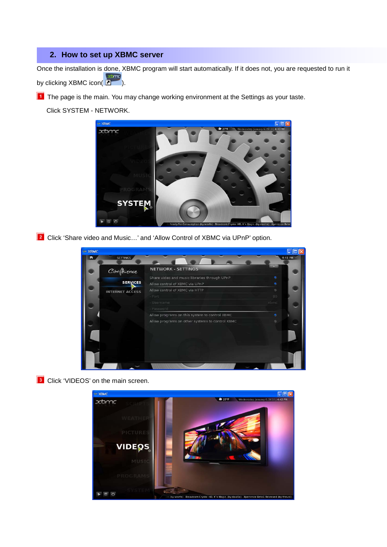# **2. How to set up XBMC server**

Once the installation is done, XBMC program will start automatically. If it does not, you are requested to run it by clicking XBMC icon( **Passing**).

**T** The page is the main. You may change working environment at the Settings as your taste.

Click SYSTEM - NETWORK.



**2** Click 'Share video and Music...' and 'Allow Control of XBMC via UPnP' option.



**3** Click 'VIDEOS' on the main screen.

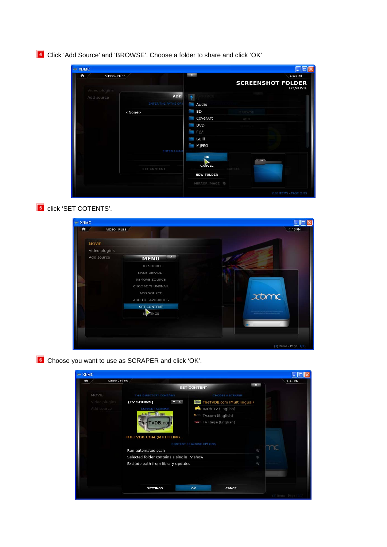Click 'Add Source' and 'BROWSE'. Choose a folder to share and click 'OK'

| <b>Em XBMC</b>              |                           |                           |                             |          |
|-----------------------------|---------------------------|---------------------------|-----------------------------|----------|
| VIDEO - FILES<br>n          |                           | $\mathbf{x}$              |                             | 4:43 PM  |
|                             |                           |                           | <b>SCREENSHOT FOLDER</b>    | D:\MOVIE |
| Video plugins<br>Add source | <b>ADD</b>                | $\sim$                    |                             |          |
|                             | <b>ENTER THE PATHS OR</b> | Audio                     |                             |          |
|                             | <none></none>             | <b>BD</b><br>for the con- | BROWSE                      |          |
|                             |                           | CoverArt                  | ADD                         |          |
|                             |                           | <b>DVD</b>                |                             |          |
|                             |                           | <b>FLV</b><br>J           |                             |          |
|                             |                           | Gulli<br>Posts.           |                             |          |
|                             |                           | MJPEG<br><b>Contract</b>  |                             |          |
|                             | ENTER A NAM               |                           |                             |          |
|                             |                           | OK                        | stare.                      |          |
|                             | <b>SET CONTENT</b>        | CANCEL                    | <b>CANCEL</b>               |          |
|                             |                           | <b>NEW FOLDER</b>         |                             |          |
|                             |                           | MIRROR IMAGE              |                             |          |
|                             |                           |                           | $(10)$ ITEMS - PAGE $(1/2)$ |          |





**6** Choose you want to use as SCRAPER and click 'OK'.

| <b>EXBMC</b>       |                                           |             |                          |                            |              |                        |
|--------------------|-------------------------------------------|-------------|--------------------------|----------------------------|--------------|------------------------|
| VIDEO - FILES<br>n |                                           |             |                          |                            |              | 4:45 PM                |
|                    |                                           |             | <b>SET CONTENT</b>       |                            | $\mathbf{x}$ |                        |
| MOVIE              | THIS DIRECTORY CONTAINS                   |             |                          | CHOOSE A SCRAPER           |              |                        |
| Video plugins      | (TV SHOWS)                                | <b>MARK</b> |                          | TheTVDB.com (Multilingual) |              |                        |
| Add source         | <b>CURRENT SCRAPER</b>                    |             |                          | <b>MDb TV</b> (English)    |              |                        |
|                    |                                           |             | tv.                      | TV.com (English)           |              |                        |
|                    | The TVDB.com                              |             | $\sim$                   | TV Rage (English)          |              |                        |
|                    |                                           |             |                          |                            |              |                        |
|                    | THETVDB.COM (MULTILING                    |             |                          |                            |              |                        |
|                    |                                           |             | CONTENT SCANNING OPTIONS |                            |              |                        |
|                    | Run automated scan                        |             | Đ)                       |                            |              |                        |
|                    | Selected folder contains a single TV show |             |                          |                            | <sup>U</sup> |                        |
|                    | Exclude path from library updates         |             | <sup>e</sup>             |                            |              |                        |
|                    |                                           |             |                          |                            |              |                        |
|                    |                                           |             |                          |                            |              |                        |
|                    | <b>SETTINGS</b>                           |             | OK                       | <b>CANCEL</b>              |              |                        |
|                    |                                           |             |                          |                            |              | (3) Items - Page (1/1) |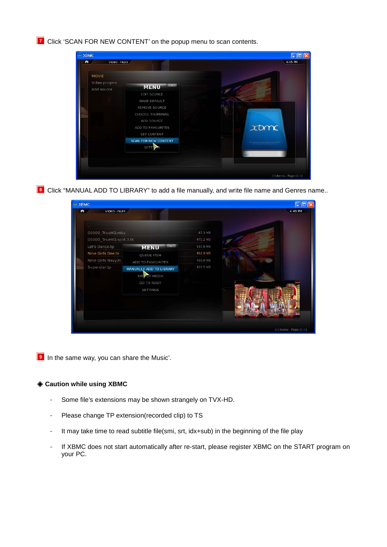**7** Click 'SCAN FOR NEW CONTENT' on the popup menu to scan contents.

| VIDEO - FILES<br>ñ |                             | 4:45 PM                                                                                                                  |
|--------------------|-----------------------------|--------------------------------------------------------------------------------------------------------------------------|
| <b>MOVIE</b>       |                             |                                                                                                                          |
| Video plugins      | $\mathbf{x}$                |                                                                                                                          |
| Add source         | <b>MENU</b>                 |                                                                                                                          |
|                    | <b>EDIT SOURCE</b>          |                                                                                                                          |
|                    | MAKE DEFAULT                |                                                                                                                          |
|                    | REMOVE SOURCE               |                                                                                                                          |
|                    | CHOOSE THUMBNAIL            |                                                                                                                          |
|                    | ADD SOURCE                  |                                                                                                                          |
|                    | ADD TO FAVOURITES           | $x$ tom $\epsilon$                                                                                                       |
|                    | SET CONTENT                 |                                                                                                                          |
|                    | <b>SCAN FOR NEW CONTENT</b> | and we can provide a string to a strainter or with this traje.<br>And in a growth criter of the above discolar expecting |
|                    | <b>SETT</b>                 |                                                                                                                          |
|                    |                             |                                                                                                                          |
|                    |                             |                                                                                                                          |
|                    |                             |                                                                                                                          |

**8** Click "MANUAL ADD TO LIBRARY" to add a file manually, and write file name and Genres name..



**I** In the same way, you can share the Music'.

#### ◈ **Caution while using XBMC**

- Some file's extensions may be shown strangely on TVX-HD.
- Please change TP extension(recorded clip) to TS
- It may take time to read subtitle file(smi, srt, idx+sub) in the beginning of the file play
- If XBMC does not start automatically after re-start, please register XBMC on the START program on your PC.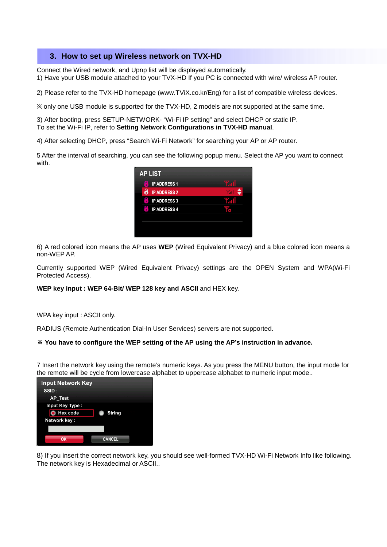## **3. How to set up Wireless network on TVX-HD**

Connect the Wired network, and Upnp list will be displayed automatically. 1) Have your USB module attached to your TVX-HD If you PC is connected with wire/ wireless AP router.

2) Please refer to the TVX-HD homepage (www.TViX.co.kr/Eng) for a list of compatible wireless devices.

※ only one USB module is supported for the TVX-HD, 2 models are not supported at the same time.

3) After booting, press SETUP-NETWORK- "Wi-Fi IP setting" and select DHCP or static IP. To set the Wi-Fi IP, refer to **Setting Network Configurations in TVX-HD manual**.

4) After selecting DHCP, press "Search Wi-Fi Network" for searching your AP or AP router.

5 After the interval of searching, you can see the following popup menu. Select the AP you want to connect with.

| <b>AP LIST</b>                           |                    |
|------------------------------------------|--------------------|
| ×<br><b>IP ADDRESS 1</b><br>$\mathbf{r}$ |                    |
| 8<br><b>IP ADDRESS 2</b>                 | ۵<br>$T_{\rm eff}$ |
| Ę<br><b>IP ADDRESS 3</b>                 |                    |
| ×<br><b>IP ADDRESS 4</b><br>ż            |                    |
|                                          |                    |
|                                          |                    |
|                                          |                    |

6) A red colored icon means the AP uses **WEP** (Wired Equivalent Privacy) and a blue colored icon means a non-WEP AP.

Currently supported WEP (Wired Equivalent Privacy) settings are the OPEN System and WPA(Wi-Fi Protected Access).

**WEP key input : WEP 64-Bit/ WEP 128 key and ASCII** and HEX key.

WPA key input : ASCII only.

RADIUS (Remote Authentication Dial-In User Services) servers are not supported.

#### ※ **You have to configure the WEP setting of the AP using the AP's instruction in advance.**

7 Insert the network key using the remote's numeric keys. As you press the MENU button, the input mode for the remote will be cycle from lowercase alphabet to uppercase alphabet to numeric input mode..

| <b>Input Network Key</b> |               |
|--------------------------|---------------|
| SSID:                    |               |
| AP_Test                  |               |
| Input Key Type:          |               |
| <b>Hex</b> code          | String        |
| Network key:             |               |
|                          |               |
| OK                       | <b>CANCEL</b> |

8) If you insert the correct network key, you should see well-formed TVX-HD Wi-Fi Network Info like following. The network key is Hexadecimal or ASCII..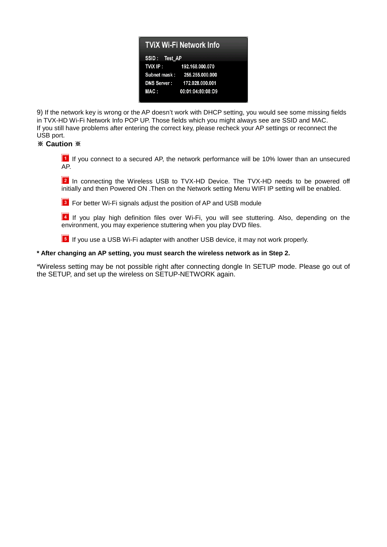| <b>TVIX Wi-Fi Network Info</b> |                              |  |
|--------------------------------|------------------------------|--|
| SSID: Test AP                  |                              |  |
| TVIX IP:                       | 192.168.000.070              |  |
|                                | Subnet mask: 255.255.000.000 |  |
| <b>DNS Server:</b>             | 172.028.000.001              |  |
| MAC:                           | 00:01:04:80:08:D9            |  |

9) If the network key is wrong or the AP doesn't work with DHCP setting, you would see some missing fields in TVX-HD Wi-Fi Network Info POP UP. Those fields which you might always see are SSID and MAC. If you still have problems after entering the correct key, please recheck your AP settings or reconnect the USB port.

### ※ **Caution** ※

 If you connect to a secured AP, the network performance will be 10% lower than an unsecured AP.

**2** In connecting the Wireless USB to TVX-HD Device. The TVX-HD needs to be powered off initially and then Powered ON .Then on the Network setting Menu WIFI IP setting will be enabled.



**B** For better Wi-Fi signals adjust the position of AP and USB module

 If you play high definition files over Wi-Fi, you will see stuttering. Also, depending on the environment, you may experience stuttering when you play DVD files.

**If** If you use a USB Wi-Fi adapter with another USB device, it may not work properly.

#### **\* After changing an AP setting, you must search the wireless network as in Step 2.**

\*Wireless setting may be not possible right after connecting dongle In SETUP mode. Please go out of the SETUP, and set up the wireless on SETUP-NETWORK again.